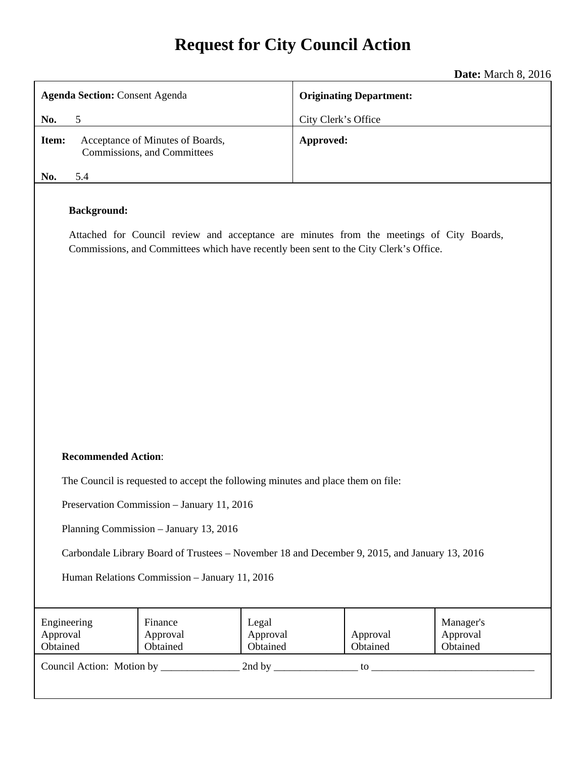# **Request for City Council Action**

**Date:** March 8, 2016

| <b>Agenda Section: Consent Agenda</b> |                                                                                                                | <b>Originating Department:</b> |  |
|---------------------------------------|----------------------------------------------------------------------------------------------------------------|--------------------------------|--|
| No.                                   | 5                                                                                                              | City Clerk's Office            |  |
| Item:                                 | Acceptance of Minutes of Boards,<br>Commissions, and Committees                                                | Approved:                      |  |
| No.                                   | 5.4                                                                                                            |                                |  |
|                                       | <b>Background:</b><br>Attached for Council review and acceptance are minutes from the meetings of City Boards, |                                |  |

Commissions, and Committees which have recently been sent to the City Clerk's Office.

### **Recommended Action**:

The Council is requested to accept the following minutes and place them on file:

Preservation Commission – January 11, 2016

Planning Commission – January 13, 2016

Carbondale Library Board of Trustees – November 18 and December 9, 2015, and January 13, 2016

Human Relations Commission – January 11, 2016

| Engineering<br>Approval<br>Obtained | Finance<br>Approval<br>Obtained | Legal<br>Approval<br>Obtained | Approval<br>Obtained | Manager's<br>Approval<br>Obtained |
|-------------------------------------|---------------------------------|-------------------------------|----------------------|-----------------------------------|
| Council Action: Motion by           |                                 | 2nd by                        | to                   |                                   |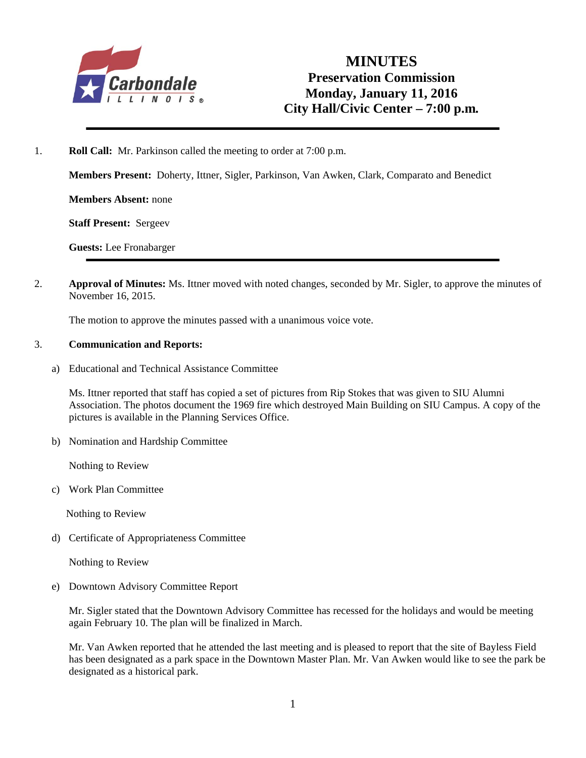

1. **Roll Call:** Mr. Parkinson called the meeting to order at 7:00 p.m.

**Members Present:** Doherty, Ittner, Sigler, Parkinson, Van Awken, Clark, Comparato and Benedict

**Members Absent:** none

**Staff Present:** Sergeev

**Guests:** Lee Fronabarger

2. **Approval of Minutes:** Ms. Ittner moved with noted changes, seconded by Mr. Sigler, to approve the minutes of November 16, 2015.

The motion to approve the minutes passed with a unanimous voice vote.

#### 3. **Communication and Reports:**

a) Educational and Technical Assistance Committee

Ms. Ittner reported that staff has copied a set of pictures from Rip Stokes that was given to SIU Alumni Association. The photos document the 1969 fire which destroyed Main Building on SIU Campus. A copy of the pictures is available in the Planning Services Office.

b) Nomination and Hardship Committee

Nothing to Review

c) Work Plan Committee

Nothing to Review

d) Certificate of Appropriateness Committee

Nothing to Review

e) Downtown Advisory Committee Report

Mr. Sigler stated that the Downtown Advisory Committee has recessed for the holidays and would be meeting again February 10. The plan will be finalized in March.

Mr. Van Awken reported that he attended the last meeting and is pleased to report that the site of Bayless Field has been designated as a park space in the Downtown Master Plan. Mr. Van Awken would like to see the park be designated as a historical park.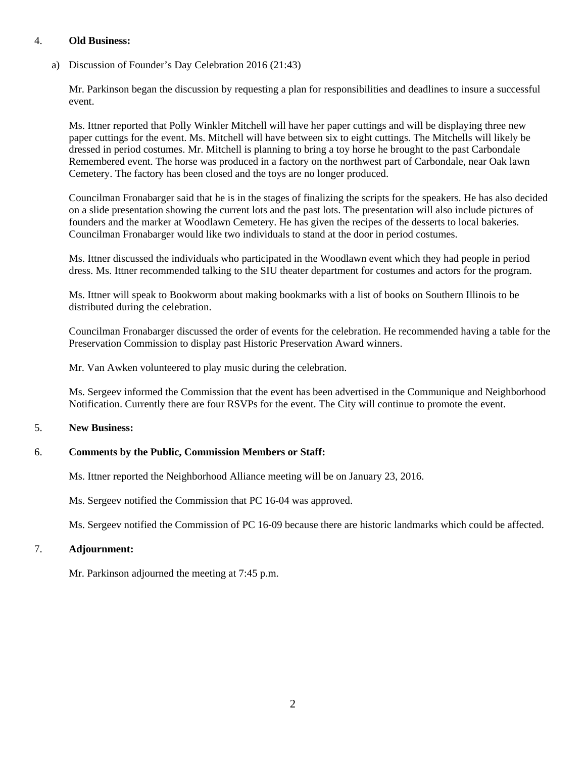#### 4. **Old Business:**

a) Discussion of Founder's Day Celebration 2016 (21:43)

Mr. Parkinson began the discussion by requesting a plan for responsibilities and deadlines to insure a successful event.

Ms. Ittner reported that Polly Winkler Mitchell will have her paper cuttings and will be displaying three new paper cuttings for the event. Ms. Mitchell will have between six to eight cuttings. The Mitchells will likely be dressed in period costumes. Mr. Mitchell is planning to bring a toy horse he brought to the past Carbondale Remembered event. The horse was produced in a factory on the northwest part of Carbondale, near Oak lawn Cemetery. The factory has been closed and the toys are no longer produced.

Councilman Fronabarger said that he is in the stages of finalizing the scripts for the speakers. He has also decided on a slide presentation showing the current lots and the past lots. The presentation will also include pictures of founders and the marker at Woodlawn Cemetery. He has given the recipes of the desserts to local bakeries. Councilman Fronabarger would like two individuals to stand at the door in period costumes.

Ms. Ittner discussed the individuals who participated in the Woodlawn event which they had people in period dress. Ms. Ittner recommended talking to the SIU theater department for costumes and actors for the program.

Ms. Ittner will speak to Bookworm about making bookmarks with a list of books on Southern Illinois to be distributed during the celebration.

Councilman Fronabarger discussed the order of events for the celebration. He recommended having a table for the Preservation Commission to display past Historic Preservation Award winners.

Mr. Van Awken volunteered to play music during the celebration.

Ms. Sergeev informed the Commission that the event has been advertised in the Communique and Neighborhood Notification. Currently there are four RSVPs for the event. The City will continue to promote the event.

### 5. **New Business:**

### 6. **Comments by the Public, Commission Members or Staff:**

Ms. Ittner reported the Neighborhood Alliance meeting will be on January 23, 2016.

Ms. Sergeev notified the Commission that PC 16-04 was approved.

Ms. Sergeev notified the Commission of PC 16-09 because there are historic landmarks which could be affected.

### 7. **Adjournment:**

Mr. Parkinson adjourned the meeting at 7:45 p.m.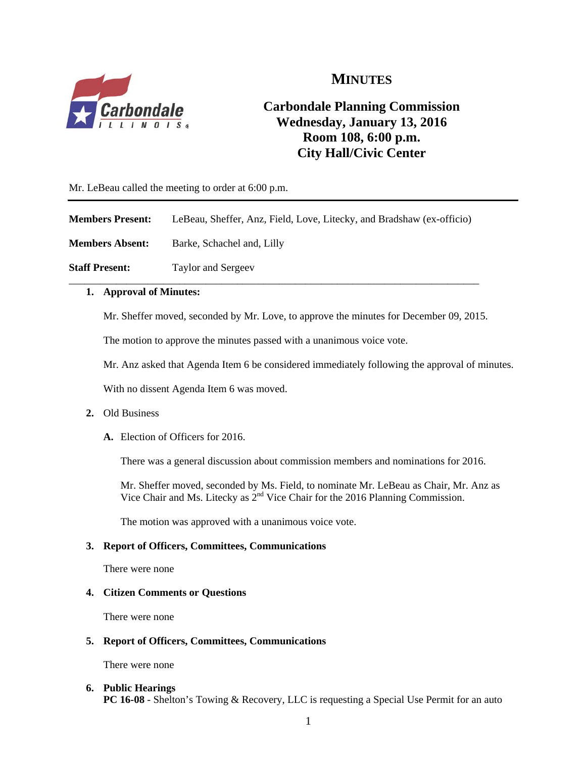

# **MINUTES**

# **Carbondale Planning Commission Wednesday, January 13, 2016 Room 108, 6:00 p.m. City Hall/Civic Center**

Mr. LeBeau called the meeting to order at 6:00 p.m.

**Members Present:** LeBeau, Sheffer, Anz, Field, Love, Litecky, and Bradshaw (ex-officio)

\_\_\_\_\_\_\_\_\_\_\_\_\_\_\_\_\_\_\_\_\_\_\_\_\_\_\_\_\_\_\_\_\_\_\_\_\_\_\_\_\_\_\_\_\_\_\_\_\_\_\_\_\_\_\_\_\_\_\_\_\_\_\_\_\_\_\_\_\_\_\_\_\_\_\_\_\_\_

**Members Absent:** Barke, Schachel and, Lilly

**Staff Present:** Taylor and Sergeev

### **1. Approval of Minutes:**

Mr. Sheffer moved, seconded by Mr. Love, to approve the minutes for December 09, 2015.

The motion to approve the minutes passed with a unanimous voice vote.

Mr. Anz asked that Agenda Item 6 be considered immediately following the approval of minutes.

With no dissent Agenda Item 6 was moved.

### **2.** Old Business

**A.** Election of Officers for 2016.

There was a general discussion about commission members and nominations for 2016.

Mr. Sheffer moved, seconded by Ms. Field, to nominate Mr. LeBeau as Chair, Mr. Anz as Vice Chair and Ms. Litecky as  $2^{nd}$  Vice Chair for the 2016 Planning Commission.

The motion was approved with a unanimous voice vote.

### **3. Report of Officers, Committees, Communications**

There were none

#### **4. Citizen Comments or Questions**

There were none

### **5. Report of Officers, Committees, Communications**

There were none

**6. Public Hearings PC 16-08** - Shelton's Towing & Recovery, LLC is requesting a Special Use Permit for an auto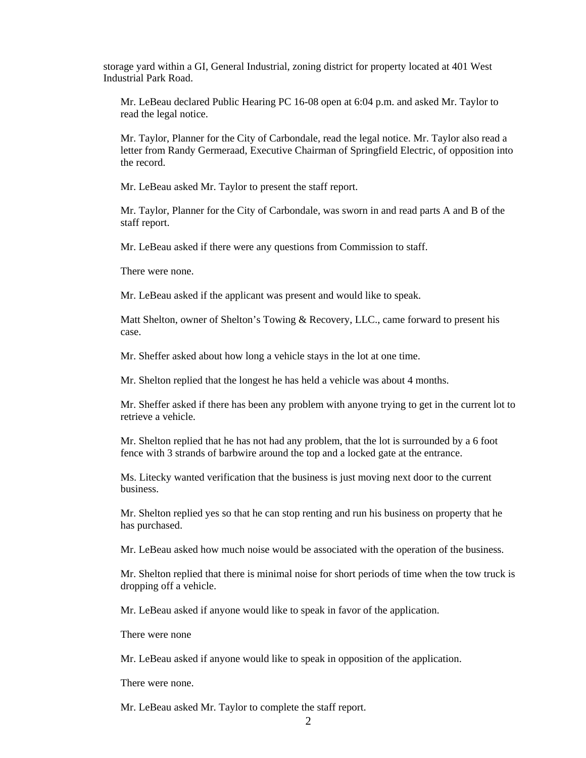storage yard within a GI, General Industrial, zoning district for property located at 401 West Industrial Park Road.

Mr. LeBeau declared Public Hearing PC 16-08 open at 6:04 p.m. and asked Mr. Taylor to read the legal notice.

Mr. Taylor, Planner for the City of Carbondale, read the legal notice. Mr. Taylor also read a letter from Randy Germeraad, Executive Chairman of Springfield Electric, of opposition into the record.

Mr. LeBeau asked Mr. Taylor to present the staff report.

Mr. Taylor, Planner for the City of Carbondale, was sworn in and read parts A and B of the staff report.

Mr. LeBeau asked if there were any questions from Commission to staff.

There were none.

Mr. LeBeau asked if the applicant was present and would like to speak.

Matt Shelton, owner of Shelton's Towing & Recovery, LLC., came forward to present his case.

Mr. Sheffer asked about how long a vehicle stays in the lot at one time.

Mr. Shelton replied that the longest he has held a vehicle was about 4 months.

Mr. Sheffer asked if there has been any problem with anyone trying to get in the current lot to retrieve a vehicle.

Mr. Shelton replied that he has not had any problem, that the lot is surrounded by a 6 foot fence with 3 strands of barbwire around the top and a locked gate at the entrance.

Ms. Litecky wanted verification that the business is just moving next door to the current business.

Mr. Shelton replied yes so that he can stop renting and run his business on property that he has purchased.

Mr. LeBeau asked how much noise would be associated with the operation of the business.

Mr. Shelton replied that there is minimal noise for short periods of time when the tow truck is dropping off a vehicle.

Mr. LeBeau asked if anyone would like to speak in favor of the application.

There were none

Mr. LeBeau asked if anyone would like to speak in opposition of the application.

There were none.

Mr. LeBeau asked Mr. Taylor to complete the staff report.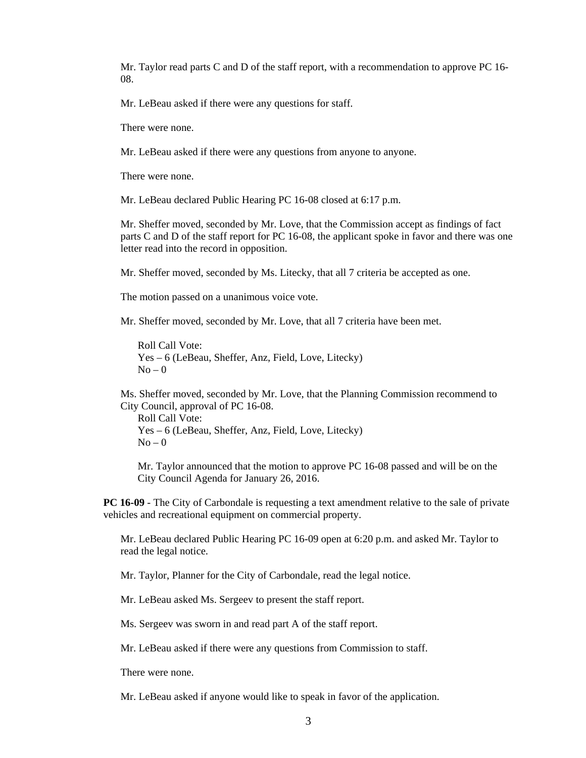Mr. Taylor read parts C and D of the staff report, with a recommendation to approve PC 16- 08.

Mr. LeBeau asked if there were any questions for staff.

There were none.

Mr. LeBeau asked if there were any questions from anyone to anyone.

There were none.

Mr. LeBeau declared Public Hearing PC 16-08 closed at 6:17 p.m.

Mr. Sheffer moved, seconded by Mr. Love, that the Commission accept as findings of fact parts C and D of the staff report for PC 16-08, the applicant spoke in favor and there was one letter read into the record in opposition.

Mr. Sheffer moved, seconded by Ms. Litecky, that all 7 criteria be accepted as one.

The motion passed on a unanimous voice vote.

Mr. Sheffer moved, seconded by Mr. Love, that all 7 criteria have been met.

Roll Call Vote: Yes – 6 (LeBeau, Sheffer, Anz, Field, Love, Litecky)  $No - 0$ 

Ms. Sheffer moved, seconded by Mr. Love, that the Planning Commission recommend to City Council, approval of PC 16-08.

Roll Call Vote: Yes – 6 (LeBeau, Sheffer, Anz, Field, Love, Litecky)  $No - 0$ 

Mr. Taylor announced that the motion to approve PC 16-08 passed and will be on the City Council Agenda for January 26, 2016.

**PC 16-09** - The City of Carbondale is requesting a text amendment relative to the sale of private vehicles and recreational equipment on commercial property.

Mr. LeBeau declared Public Hearing PC 16-09 open at 6:20 p.m. and asked Mr. Taylor to read the legal notice.

Mr. Taylor, Planner for the City of Carbondale, read the legal notice.

Mr. LeBeau asked Ms. Sergeev to present the staff report.

Ms. Sergeev was sworn in and read part A of the staff report.

Mr. LeBeau asked if there were any questions from Commission to staff.

There were none.

Mr. LeBeau asked if anyone would like to speak in favor of the application.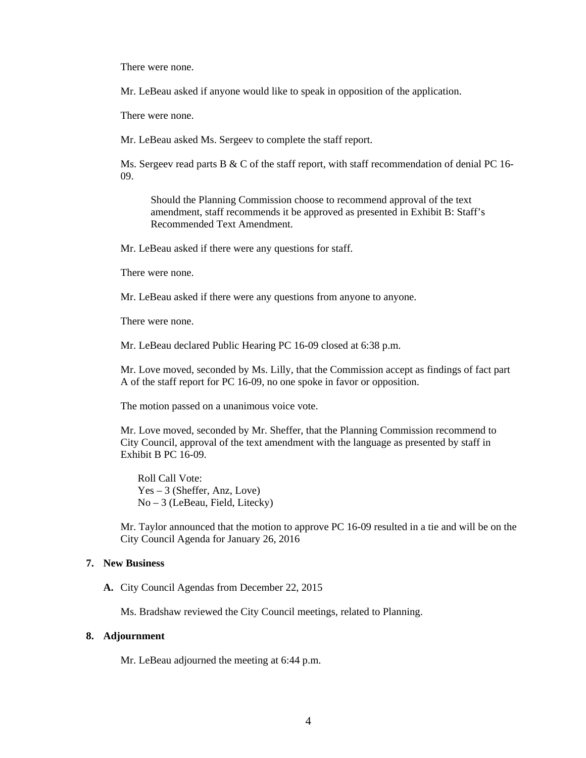There were none.

Mr. LeBeau asked if anyone would like to speak in opposition of the application.

There were none.

Mr. LeBeau asked Ms. Sergeev to complete the staff report.

Ms. Sergeev read parts B & C of the staff report, with staff recommendation of denial PC 16-09.

Should the Planning Commission choose to recommend approval of the text amendment, staff recommends it be approved as presented in Exhibit B: Staff's Recommended Text Amendment.

Mr. LeBeau asked if there were any questions for staff.

There were none.

Mr. LeBeau asked if there were any questions from anyone to anyone.

There were none.

Mr. LeBeau declared Public Hearing PC 16-09 closed at 6:38 p.m.

Mr. Love moved, seconded by Ms. Lilly, that the Commission accept as findings of fact part A of the staff report for PC 16-09, no one spoke in favor or opposition.

The motion passed on a unanimous voice vote.

Mr. Love moved, seconded by Mr. Sheffer, that the Planning Commission recommend to City Council, approval of the text amendment with the language as presented by staff in Exhibit B PC 16-09.

Roll Call Vote: Yes – 3 (Sheffer, Anz, Love) No – 3 (LeBeau, Field, Litecky)

Mr. Taylor announced that the motion to approve PC 16-09 resulted in a tie and will be on the City Council Agenda for January 26, 2016

#### **7. New Business**

**A.** City Council Agendas from December 22, 2015

Ms. Bradshaw reviewed the City Council meetings, related to Planning.

#### **8. Adjournment**

Mr. LeBeau adjourned the meeting at 6:44 p.m.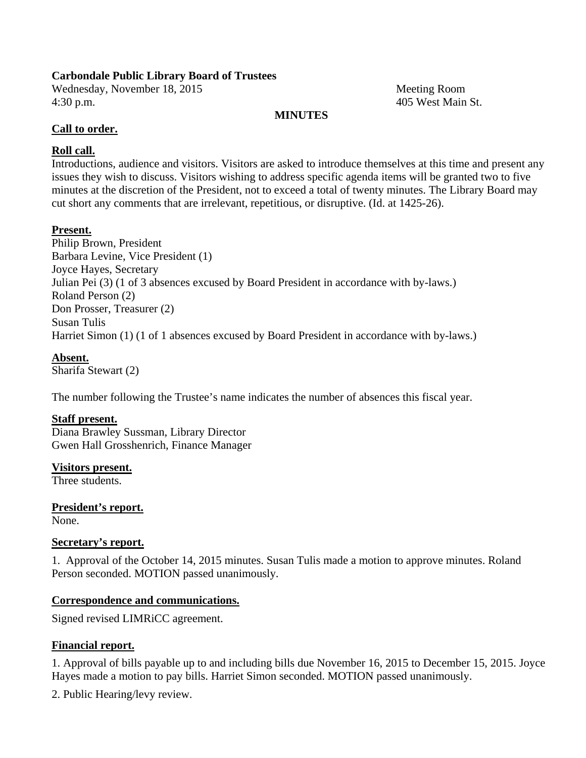# **Carbondale Public Library Board of Trustees**

Wednesday, November 18, 2015 Meeting Room 4:30 p.m. 405 West Main St.

# **MINUTES**

# **Call to order.**

# **Roll call.**

Introductions, audience and visitors. Visitors are asked to introduce themselves at this time and present any issues they wish to discuss. Visitors wishing to address specific agenda items will be granted two to five minutes at the discretion of the President, not to exceed a total of twenty minutes. The Library Board may cut short any comments that are irrelevant, repetitious, or disruptive. (Id. at 1425-26).

# **Present.**

Philip Brown, President Barbara Levine, Vice President (1) Joyce Hayes, Secretary Julian Pei (3) (1 of 3 absences excused by Board President in accordance with by-laws.) Roland Person (2) Don Prosser, Treasurer (2) Susan Tulis Harriet Simon (1) (1 of 1 absences excused by Board President in accordance with by-laws.)

# **Absent.**

Sharifa Stewart (2)

The number following the Trustee's name indicates the number of absences this fiscal year.

# **Staff present.**

Diana Brawley Sussman, Library Director Gwen Hall Grosshenrich, Finance Manager

**Visitors present.**  Three students.

**President's report.**  None.

# **Secretary's report.**

1. Approval of the October 14, 2015 minutes. Susan Tulis made a motion to approve minutes. Roland Person seconded. MOTION passed unanimously.

# **Correspondence and communications.**

Signed revised LIMRiCC agreement.

# **Financial report.**

1. Approval of bills payable up to and including bills due November 16, 2015 to December 15, 2015. Joyce Hayes made a motion to pay bills. Harriet Simon seconded. MOTION passed unanimously.

2. Public Hearing/levy review.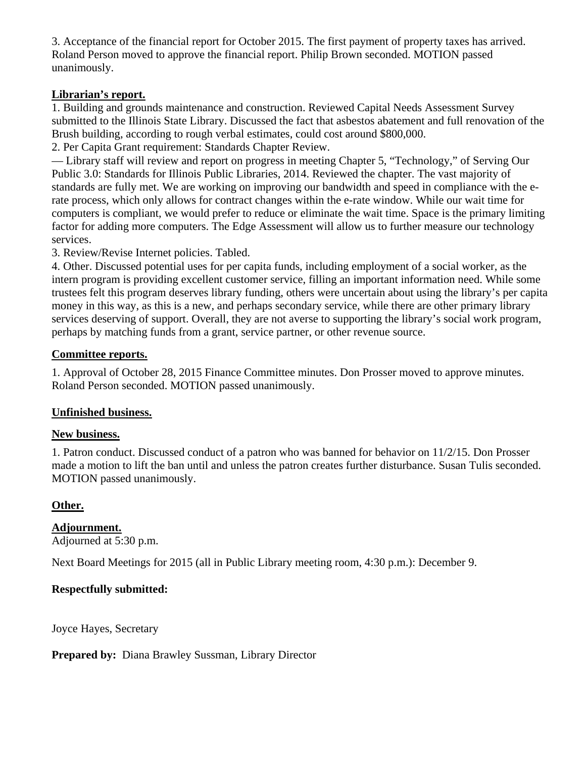3. Acceptance of the financial report for October 2015. The first payment of property taxes has arrived. Roland Person moved to approve the financial report. Philip Brown seconded. MOTION passed unanimously.

# **Librarian's report.**

1. Building and grounds maintenance and construction. Reviewed Capital Needs Assessment Survey submitted to the Illinois State Library. Discussed the fact that asbestos abatement and full renovation of the Brush building, according to rough verbal estimates, could cost around \$800,000.

2. Per Capita Grant requirement: Standards Chapter Review.

— Library staff will review and report on progress in meeting Chapter 5, "Technology," of Serving Our Public 3.0: Standards for Illinois Public Libraries, 2014. Reviewed the chapter. The vast majority of standards are fully met. We are working on improving our bandwidth and speed in compliance with the erate process, which only allows for contract changes within the e-rate window. While our wait time for computers is compliant, we would prefer to reduce or eliminate the wait time. Space is the primary limiting factor for adding more computers. The Edge Assessment will allow us to further measure our technology services.

3. Review/Revise Internet policies. Tabled.

4. Other. Discussed potential uses for per capita funds, including employment of a social worker, as the intern program is providing excellent customer service, filling an important information need. While some trustees felt this program deserves library funding, others were uncertain about using the library's per capita money in this way, as this is a new, and perhaps secondary service, while there are other primary library services deserving of support. Overall, they are not averse to supporting the library's social work program, perhaps by matching funds from a grant, service partner, or other revenue source.

# **Committee reports.**

1. Approval of October 28, 2015 Finance Committee minutes. Don Prosser moved to approve minutes. Roland Person seconded. MOTION passed unanimously.

# **Unfinished business.**

# **New business.**

1. Patron conduct. Discussed conduct of a patron who was banned for behavior on 11/2/15. Don Prosser made a motion to lift the ban until and unless the patron creates further disturbance. Susan Tulis seconded. MOTION passed unanimously.

# **Other.**

# **Adjournment.**

Adjourned at 5:30 p.m.

Next Board Meetings for 2015 (all in Public Library meeting room, 4:30 p.m.): December 9.

# **Respectfully submitted:**

Joyce Hayes, Secretary

**Prepared by:** Diana Brawley Sussman, Library Director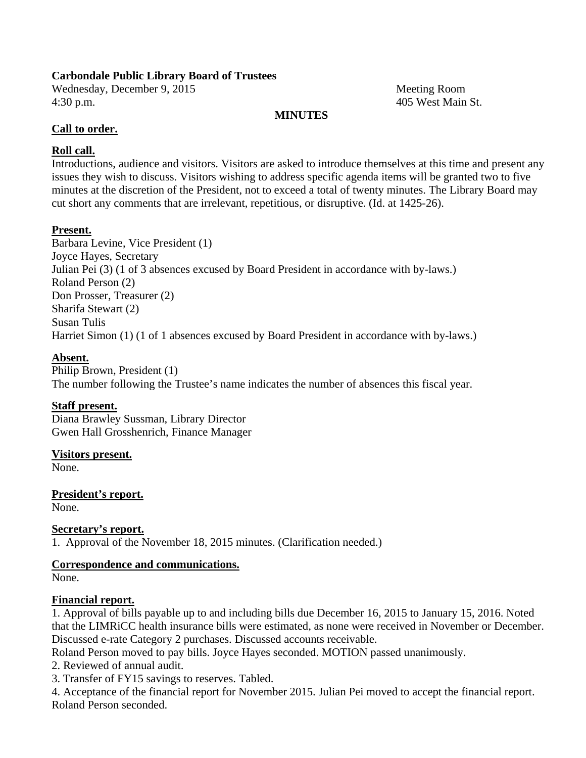# **Carbondale Public Library Board of Trustees**

Wednesday, December 9, 2015 Meeting Room 4:30 p.m. 405 West Main St.

# **MINUTES**

# **Call to order.**

# **Roll call.**

Introductions, audience and visitors. Visitors are asked to introduce themselves at this time and present any issues they wish to discuss. Visitors wishing to address specific agenda items will be granted two to five minutes at the discretion of the President, not to exceed a total of twenty minutes. The Library Board may cut short any comments that are irrelevant, repetitious, or disruptive. (Id. at 1425-26).

# **Present.**

Barbara Levine, Vice President (1) Joyce Hayes, Secretary Julian Pei (3) (1 of 3 absences excused by Board President in accordance with by-laws.) Roland Person (2) Don Prosser, Treasurer (2) Sharifa Stewart (2) Susan Tulis Harriet Simon (1) (1 of 1 absences excused by Board President in accordance with by-laws.)

# **Absent.**

Philip Brown, President (1) The number following the Trustee's name indicates the number of absences this fiscal year.

# **Staff present.**

Diana Brawley Sussman, Library Director Gwen Hall Grosshenrich, Finance Manager

# **Visitors present.**

None.

**President's report.** 

None.

# **Secretary's report.**

1. Approval of the November 18, 2015 minutes. (Clarification needed.)

# **Correspondence and communications.**

None.

# **Financial report.**

1. Approval of bills payable up to and including bills due December 16, 2015 to January 15, 2016. Noted that the LIMRiCC health insurance bills were estimated, as none were received in November or December. Discussed e-rate Category 2 purchases. Discussed accounts receivable.

Roland Person moved to pay bills. Joyce Hayes seconded. MOTION passed unanimously.

2. Reviewed of annual audit.

3. Transfer of FY15 savings to reserves. Tabled.

4. Acceptance of the financial report for November 2015. Julian Pei moved to accept the financial report. Roland Person seconded.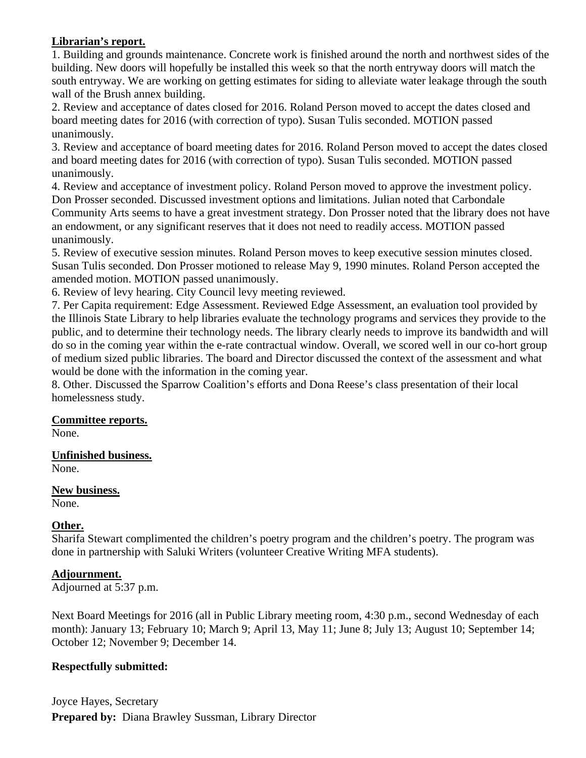# **Librarian's report.**

1. Building and grounds maintenance. Concrete work is finished around the north and northwest sides of the building. New doors will hopefully be installed this week so that the north entryway doors will match the south entryway. We are working on getting estimates for siding to alleviate water leakage through the south wall of the Brush annex building.

2. Review and acceptance of dates closed for 2016. Roland Person moved to accept the dates closed and board meeting dates for 2016 (with correction of typo). Susan Tulis seconded. MOTION passed unanimously.

3. Review and acceptance of board meeting dates for 2016. Roland Person moved to accept the dates closed and board meeting dates for 2016 (with correction of typo). Susan Tulis seconded. MOTION passed unanimously.

4. Review and acceptance of investment policy. Roland Person moved to approve the investment policy. Don Prosser seconded. Discussed investment options and limitations. Julian noted that Carbondale Community Arts seems to have a great investment strategy. Don Prosser noted that the library does not have an endowment, or any significant reserves that it does not need to readily access. MOTION passed unanimously.

5. Review of executive session minutes. Roland Person moves to keep executive session minutes closed. Susan Tulis seconded. Don Prosser motioned to release May 9, 1990 minutes. Roland Person accepted the amended motion. MOTION passed unanimously.

6. Review of levy hearing. City Council levy meeting reviewed.

7. Per Capita requirement: Edge Assessment. Reviewed Edge Assessment, an evaluation tool provided by the Illinois State Library to help libraries evaluate the technology programs and services they provide to the public, and to determine their technology needs. The library clearly needs to improve its bandwidth and will do so in the coming year within the e-rate contractual window. Overall, we scored well in our co-hort group of medium sized public libraries. The board and Director discussed the context of the assessment and what would be done with the information in the coming year.

8. Other. Discussed the Sparrow Coalition's efforts and Dona Reese's class presentation of their local homelessness study.

# **Committee reports.**

None.

# **Unfinished business.**

None.

# **New business.**

None.

# **Other.**

Sharifa Stewart complimented the children's poetry program and the children's poetry. The program was done in partnership with Saluki Writers (volunteer Creative Writing MFA students).

# **Adjournment.**

Adjourned at 5:37 p.m.

Next Board Meetings for 2016 (all in Public Library meeting room, 4:30 p.m., second Wednesday of each month): January 13; February 10; March 9; April 13, May 11; June 8; July 13; August 10; September 14; October 12; November 9; December 14.

# **Respectfully submitted:**

Joyce Hayes, Secretary **Prepared by:** Diana Brawley Sussman, Library Director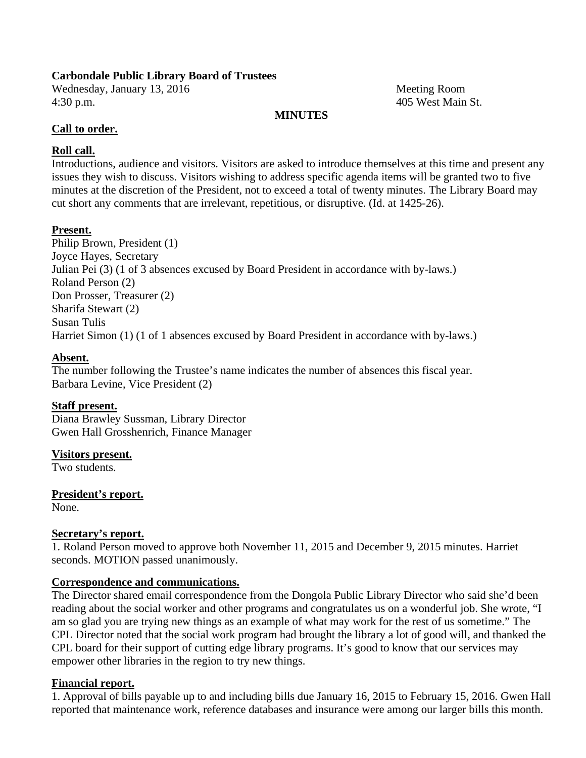# **Carbondale Public Library Board of Trustees**

Wednesday, January 13, 2016 Meeting Room 4:30 p.m. 405 West Main St.

# **MINUTES**

# **Call to order.**

# **Roll call.**

Introductions, audience and visitors. Visitors are asked to introduce themselves at this time and present any issues they wish to discuss. Visitors wishing to address specific agenda items will be granted two to five minutes at the discretion of the President, not to exceed a total of twenty minutes. The Library Board may cut short any comments that are irrelevant, repetitious, or disruptive. (Id. at 1425-26).

# **Present.**

Philip Brown, President (1) Joyce Hayes, Secretary Julian Pei (3) (1 of 3 absences excused by Board President in accordance with by-laws.) Roland Person (2) Don Prosser, Treasurer (2) Sharifa Stewart (2) Susan Tulis Harriet Simon (1) (1 of 1 absences excused by Board President in accordance with by-laws.)

# **Absent.**

The number following the Trustee's name indicates the number of absences this fiscal year. Barbara Levine, Vice President (2)

# **Staff present.**

Diana Brawley Sussman, Library Director Gwen Hall Grosshenrich, Finance Manager

# **Visitors present.**

Two students.

**President's report.** 

None.

# **Secretary's report.**

1. Roland Person moved to approve both November 11, 2015 and December 9, 2015 minutes. Harriet seconds. MOTION passed unanimously.

# **Correspondence and communications.**

The Director shared email correspondence from the Dongola Public Library Director who said she'd been reading about the social worker and other programs and congratulates us on a wonderful job. She wrote, "I am so glad you are trying new things as an example of what may work for the rest of us sometime." The CPL Director noted that the social work program had brought the library a lot of good will, and thanked the CPL board for their support of cutting edge library programs. It's good to know that our services may empower other libraries in the region to try new things.

# **Financial report.**

1. Approval of bills payable up to and including bills due January 16, 2015 to February 15, 2016. Gwen Hall reported that maintenance work, reference databases and insurance were among our larger bills this month.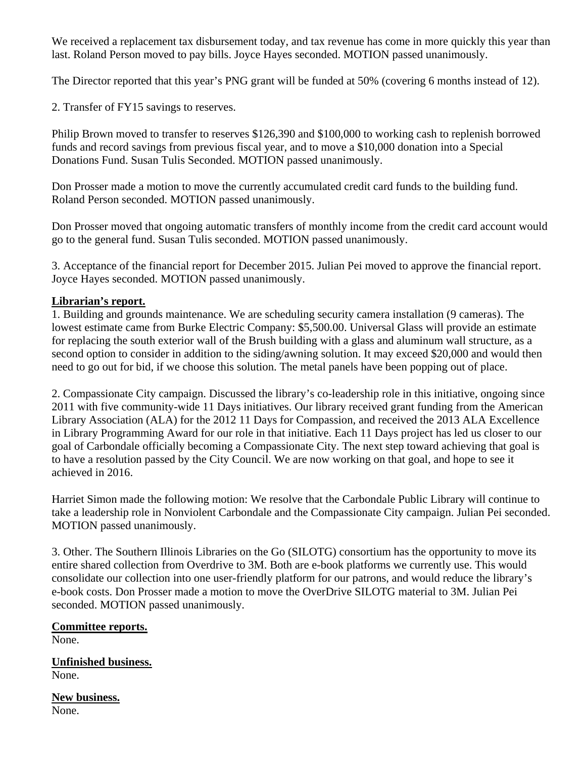We received a replacement tax disbursement today, and tax revenue has come in more quickly this year than last. Roland Person moved to pay bills. Joyce Hayes seconded. MOTION passed unanimously.

The Director reported that this year's PNG grant will be funded at 50% (covering 6 months instead of 12).

2. Transfer of FY15 savings to reserves.

Philip Brown moved to transfer to reserves \$126,390 and \$100,000 to working cash to replenish borrowed funds and record savings from previous fiscal year, and to move a \$10,000 donation into a Special Donations Fund. Susan Tulis Seconded. MOTION passed unanimously.

Don Prosser made a motion to move the currently accumulated credit card funds to the building fund. Roland Person seconded. MOTION passed unanimously.

Don Prosser moved that ongoing automatic transfers of monthly income from the credit card account would go to the general fund. Susan Tulis seconded. MOTION passed unanimously.

3. Acceptance of the financial report for December 2015. Julian Pei moved to approve the financial report. Joyce Hayes seconded. MOTION passed unanimously.

# **Librarian's report.**

1. Building and grounds maintenance. We are scheduling security camera installation (9 cameras). The lowest estimate came from Burke Electric Company: \$5,500.00. Universal Glass will provide an estimate for replacing the south exterior wall of the Brush building with a glass and aluminum wall structure, as a second option to consider in addition to the siding/awning solution. It may exceed \$20,000 and would then need to go out for bid, if we choose this solution. The metal panels have been popping out of place.

2. Compassionate City campaign. Discussed the library's co-leadership role in this initiative, ongoing since 2011 with five community-wide 11 Days initiatives. Our library received grant funding from the American Library Association (ALA) for the 2012 11 Days for Compassion, and received the 2013 ALA Excellence in Library Programming Award for our role in that initiative. Each 11 Days project has led us closer to our goal of Carbondale officially becoming a Compassionate City. The next step toward achieving that goal is to have a resolution passed by the City Council. We are now working on that goal, and hope to see it achieved in 2016.

Harriet Simon made the following motion: We resolve that the Carbondale Public Library will continue to take a leadership role in Nonviolent Carbondale and the Compassionate City campaign. Julian Pei seconded. MOTION passed unanimously.

3. Other. The Southern Illinois Libraries on the Go (SILOTG) consortium has the opportunity to move its entire shared collection from Overdrive to 3M. Both are e-book platforms we currently use. This would consolidate our collection into one user-friendly platform for our patrons, and would reduce the library's e-book costs. Don Prosser made a motion to move the OverDrive SILOTG material to 3M. Julian Pei seconded. MOTION passed unanimously.

**Committee reports.**  None.

**Unfinished business.**  None.

**New business.**  None.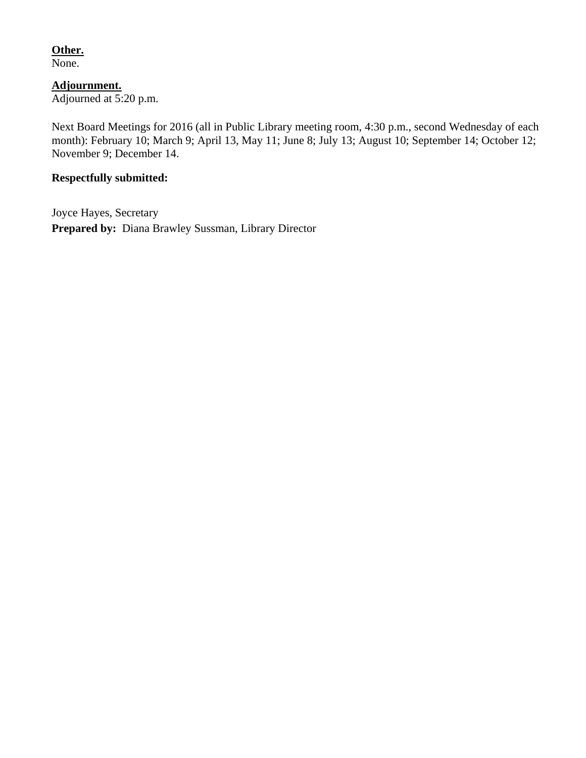# **Other.**

None.

**Adjournment.**  Adjourned at 5:20 p.m.

Next Board Meetings for 2016 (all in Public Library meeting room, 4:30 p.m., second Wednesday of each month): February 10; March 9; April 13, May 11; June 8; July 13; August 10; September 14; October 12; November 9; December 14.

# **Respectfully submitted:**

Joyce Hayes, Secretary **Prepared by:** Diana Brawley Sussman, Library Director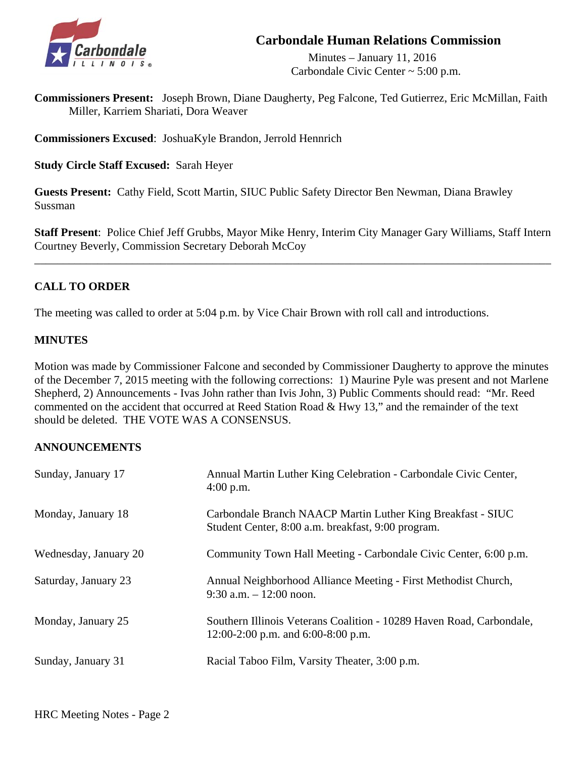

# **Carbondale Human Relations Commission**

 Minutes – January 11, 2016 Carbondale Civic Center ~ 5:00 p.m.

**Commissioners Present:** Joseph Brown, Diane Daugherty, Peg Falcone, Ted Gutierrez, Eric McMillan, Faith Miller, Karriem Shariati, Dora Weaver

**Commissioners Excused**: JoshuaKyle Brandon, Jerrold Hennrich

**Study Circle Staff Excused:** Sarah Heyer

**Guests Present:** Cathy Field, Scott Martin, SIUC Public Safety Director Ben Newman, Diana Brawley Sussman

**Staff Present**: Police Chief Jeff Grubbs, Mayor Mike Henry, Interim City Manager Gary Williams, Staff Intern Courtney Beverly, Commission Secretary Deborah McCoy

\_\_\_\_\_\_\_\_\_\_\_\_\_\_\_\_\_\_\_\_\_\_\_\_\_\_\_\_\_\_\_\_\_\_\_\_\_\_\_\_\_\_\_\_\_\_\_\_\_\_\_\_\_\_\_\_\_\_\_\_\_\_\_\_\_\_\_\_\_\_\_\_\_\_\_\_\_\_\_\_\_\_\_\_\_\_\_\_\_\_

# **CALL TO ORDER**

The meeting was called to order at 5:04 p.m. by Vice Chair Brown with roll call and introductions.

### **MINUTES**

Motion was made by Commissioner Falcone and seconded by Commissioner Daugherty to approve the minutes of the December 7, 2015 meeting with the following corrections: 1) Maurine Pyle was present and not Marlene Shepherd, 2) Announcements - Ivas John rather than Ivis John, 3) Public Comments should read: "Mr. Reed commented on the accident that occurred at Reed Station Road & Hwy 13," and the remainder of the text should be deleted. THE VOTE WAS A CONSENSUS.

### **ANNOUNCEMENTS**

| Sunday, January 17    | Annual Martin Luther King Celebration - Carbondale Civic Center,<br>$4:00$ p.m.                                   |
|-----------------------|-------------------------------------------------------------------------------------------------------------------|
| Monday, January 18    | Carbondale Branch NAACP Martin Luther King Breakfast - SIUC<br>Student Center, 8:00 a.m. breakfast, 9:00 program. |
| Wednesday, January 20 | Community Town Hall Meeting - Carbondale Civic Center, 6:00 p.m.                                                  |
| Saturday, January 23  | Annual Neighborhood Alliance Meeting - First Methodist Church,<br>$9:30$ a.m. $-12:00$ noon.                      |
| Monday, January 25    | Southern Illinois Veterans Coalition - 10289 Haven Road, Carbondale,<br>12:00-2:00 p.m. and $6:00-8:00$ p.m.      |
| Sunday, January 31    | Racial Taboo Film, Varsity Theater, 3:00 p.m.                                                                     |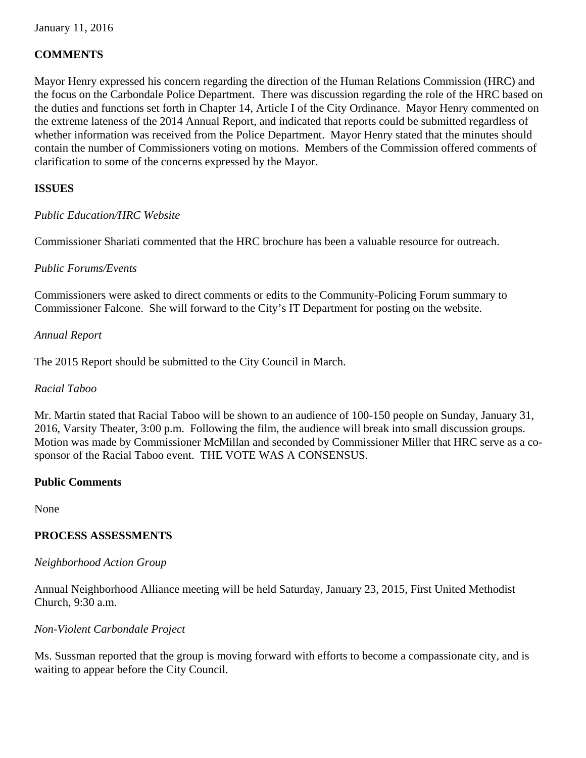# **COMMENTS**

Mayor Henry expressed his concern regarding the direction of the Human Relations Commission (HRC) and the focus on the Carbondale Police Department. There was discussion regarding the role of the HRC based on the duties and functions set forth in Chapter 14, Article I of the City Ordinance. Mayor Henry commented on the extreme lateness of the 2014 Annual Report, and indicated that reports could be submitted regardless of whether information was received from the Police Department. Mayor Henry stated that the minutes should contain the number of Commissioners voting on motions. Members of the Commission offered comments of clarification to some of the concerns expressed by the Mayor.

# **ISSUES**

# *Public Education/HRC Website*

Commissioner Shariati commented that the HRC brochure has been a valuable resource for outreach.

# *Public Forums/Events*

Commissioners were asked to direct comments or edits to the Community-Policing Forum summary to Commissioner Falcone. She will forward to the City's IT Department for posting on the website.

### *Annual Report*

The 2015 Report should be submitted to the City Council in March.

### *Racial Taboo*

Mr. Martin stated that Racial Taboo will be shown to an audience of 100-150 people on Sunday, January 31, 2016, Varsity Theater, 3:00 p.m. Following the film, the audience will break into small discussion groups. Motion was made by Commissioner McMillan and seconded by Commissioner Miller that HRC serve as a cosponsor of the Racial Taboo event. THE VOTE WAS A CONSENSUS.

# **Public Comments**

None

# **PROCESS ASSESSMENTS**

### *Neighborhood Action Group*

 Annual Neighborhood Alliance meeting will be held Saturday, January 23, 2015, First United Methodist Church, 9:30 a.m.

### *Non-Violent Carbondale Project*

 Ms. Sussman reported that the group is moving forward with efforts to become a compassionate city, and is waiting to appear before the City Council.